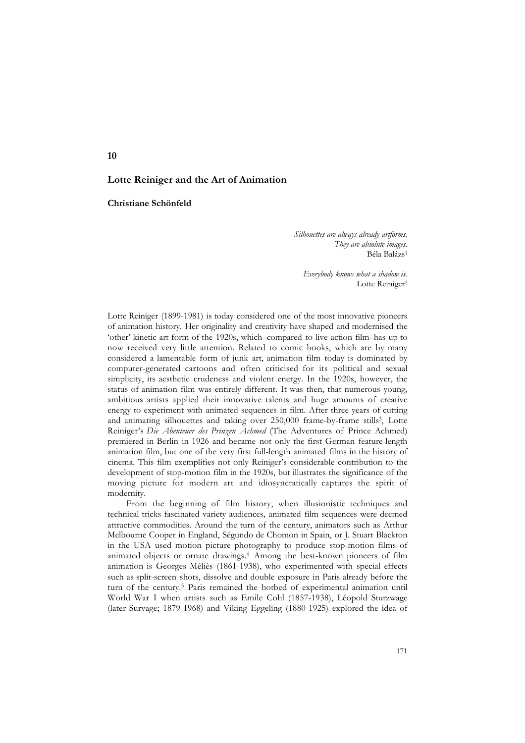# **Lotte Reiniger and the Art of Animation**

**Christiane Schönfeld**

*Silhouettes are always already artforms. They are absolute images.* Béla Balázs1

*Everybody knows what a shadow is.* Lotte Reiniger<sup>2</sup>

Lotte Reiniger (1899-1981) is today considered one of the most innovative pioneers of animation history. Her originality and creativity have shaped and modernised the 'other' kinetic art form of the 1920s, which–compared to live-action film–has up to now received very little attention. Related to comic books, which are by many considered a lamentable form of junk art, animation film today is dominated by computer-generated cartoons and often criticised for its political and sexual simplicity, its aesthetic crudeness and violent energy. In the 1920s, however, the status of animation film was entirely different. It was then, that numerous young, ambitious artists applied their innovative talents and huge amounts of creative energy to experiment with animated sequences in film. After three years of cutting and animating silhouettes and taking over 250,000 frame-by-frame stills<sup>3</sup>, Lotte Reiniger's *Die Abenteuer des Prinzen Achmed* (The Adventures of Prince Achmed) premiered in Berlin in 1926 and became not only the first German feature-length animation film, but one of the very first full-length animated films in the history of cinema. This film exemplifies not only Reiniger's considerable contribution to the development of stop-motion film in the 1920s, but illustrates the significance of the moving picture for modern art and idiosyncratically captures the spirit of modernity.

From the beginning of film history, when illusionistic techniques and technical tricks fascinated variety audiences, animated film sequences were deemed attractive commodities. Around the turn of the century, animators such as Arthur Melbourne Cooper in England, Ségundo de Chomon in Spain, or J. Stuart Blackton in the USA used motion picture photography to produce stop-motion films of animated objects or ornate drawings.4 Among the best-known pioneers of film animation is Georges Méliès (1861-1938), who experimented with special effects such as split-screen shots, dissolve and double exposure in Paris already before the turn of the century.5 Paris remained the hotbed of experimental animation until World War I when artists such as Emile Cohl (1857-1938), Léopold Sturzwage (later Survage; 1879-1968) and Viking Eggeling (1880-1925) explored the idea of

**10**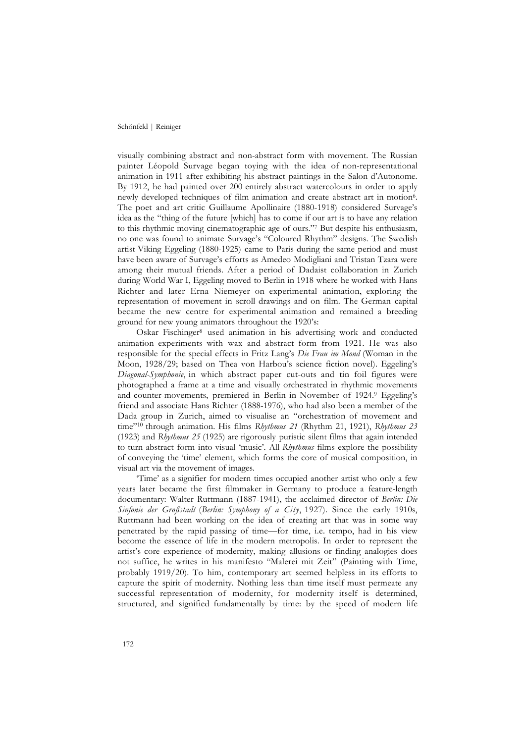visually combining abstract and non-abstract form with movement. The Russian painter Léopold Survage began toying with the idea of non-representational animation in 1911 after exhibiting his abstract paintings in the Salon d'Autonome. By 1912, he had painted over 200 entirely abstract watercolours in order to apply newly developed techniques of film animation and create abstract art in motion6. The poet and art critic Guillaume Apollinaire (1880-1918) considered Survage's idea as the "thing of the future [which] has to come if our art is to have any relation to this rhythmic moving cinematographic age of ours."7 But despite his enthusiasm, no one was found to animate Survage's "Coloured Rhythm" designs. The Swedish artist Viking Eggeling (1880-1925) came to Paris during the same period and must have been aware of Survage's efforts as Amedeo Modigliani and Tristan Tzara were among their mutual friends. After a period of Dadaist collaboration in Zurich during World War I, Eggeling moved to Berlin in 1918 where he worked with Hans Richter and later Erna Niemeyer on experimental animation, exploring the representation of movement in scroll drawings and on film. The German capital became the new centre for experimental animation and remained a breeding ground for new young animators throughout the 1920's:

Oskar Fischinger8 used animation in his advertising work and conducted animation experiments with wax and abstract form from 1921. He was also responsible for the special effects in Fritz Lang's *Die Frau im Mond* (Woman in the Moon, 1928/29; based on Thea von Harbou's science fiction novel). Eggeling's *Diagonal-Symphonie*, in which abstract paper cut-outs and tin foil figures were photographed a frame at a time and visually orchestrated in rhythmic movements and counter-movements, premiered in Berlin in November of 1924.9 Eggeling's friend and associate Hans Richter (1888-1976), who had also been a member of the Dada group in Zurich, aimed to visualise an "orchestration of movement and time"10 through animation. His films *Rhythmus 21* (Rhythm 21, 1921), *Rhythmus 23* (1923) and *Rhythmus 25* (1925) are rigorously puristic silent films that again intended to turn abstract form into visual 'music'. All *Rhythmus* films explore the possibility of conveying the 'time' element, which forms the core of musical composition, in visual art via the movement of images.

'Time' as a signifier for modern times occupied another artist who only a few years later became the first filmmaker in Germany to produce a feature-length documentary: Walter Ruttmann (1887-1941), the acclaimed director of *Berlin: Die Sinfonie der Großstadt* (*Berlin: Symphony of a City*, 1927). Since the early 1910s, Ruttmann had been working on the idea of creating art that was in some way penetrated by the rapid passing of time—for time, i.e. tempo, had in his view become the essence of life in the modern metropolis. In order to represent the artist's core experience of modernity, making allusions or finding analogies does not suffice, he writes in his manifesto "Malerei mit Zeit" (Painting with Time, probably 1919/20). To him, contemporary art seemed helpless in its efforts to capture the spirit of modernity. Nothing less than time itself must permeate any successful representation of modernity, for modernity itself is determined, structured, and signified fundamentally by time: by the speed of modern life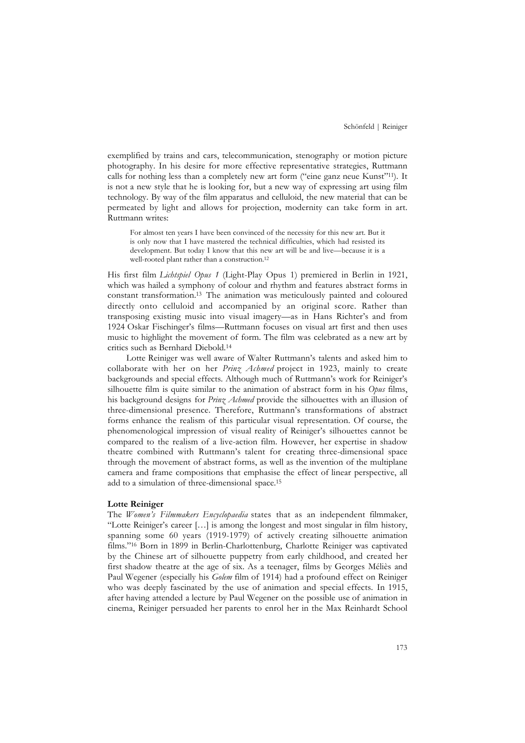exemplified by trains and cars, telecommunication, stenography or motion picture photography. In his desire for more effective representative strategies, Ruttmann calls for nothing less than a completely new art form ("eine ganz neue Kunst"11). It is not a new style that he is looking for, but a new way of expressing art using film technology. By way of the film apparatus and celluloid, the new material that can be permeated by light and allows for projection, modernity can take form in art. Ruttmann writes:

For almost ten years I have been convinced of the necessity for this new art. But it is only now that I have mastered the technical difficulties, which had resisted its development. But today I know that this new art will be and live—because it is a well-rooted plant rather than a construction.12

His first film *Lichtspiel Opus 1* (Light-Play Opus 1) premiered in Berlin in 1921, which was hailed a symphony of colour and rhythm and features abstract forms in constant transformation.13 The animation was meticulously painted and coloured directly onto celluloid and accompanied by an original score. Rather than transposing existing music into visual imagery—as in Hans Richter's and from 1924 Oskar Fischinger's films—Ruttmann focuses on visual art first and then uses music to highlight the movement of form. The film was celebrated as a new art by critics such as Bernhard Diebold.14

Lotte Reiniger was well aware of Walter Ruttmann's talents and asked him to collaborate with her on her *Prinz Achmed* project in 1923, mainly to create backgrounds and special effects. Although much of Ruttmann's work for Reiniger's silhouette film is quite similar to the animation of abstract form in his *Opus* films, his background designs for *Prinz Achmed* provide the silhouettes with an illusion of three-dimensional presence. Therefore, Ruttmann's transformations of abstract forms enhance the realism of this particular visual representation. Of course, the phenomenological impression of visual reality of Reiniger's silhouettes cannot be compared to the realism of a live-action film. However, her expertise in shadow theatre combined with Ruttmann's talent for creating three-dimensional space through the movement of abstract forms, as well as the invention of the multiplane camera and frame compositions that emphasise the effect of linear perspective, all add to a simulation of three-dimensional space.15

#### **Lotte Reiniger**

The *Women's Filmmakers Encyclopaedia* states that as an independent filmmaker, "Lotte Reiniger's career […] is among the longest and most singular in film history, spanning some 60 years (1919-1979) of actively creating silhouette animation films."16 Born in 1899 in Berlin-Charlottenburg, Charlotte Reiniger was captivated by the Chinese art of silhouette puppetry from early childhood, and created her first shadow theatre at the age of six. As a teenager, films by Georges Méliès and Paul Wegener (especially his *Golem* film of 1914) had a profound effect on Reiniger who was deeply fascinated by the use of animation and special effects. In 1915, after having attended a lecture by Paul Wegener on the possible use of animation in cinema, Reiniger persuaded her parents to enrol her in the Max Reinhardt School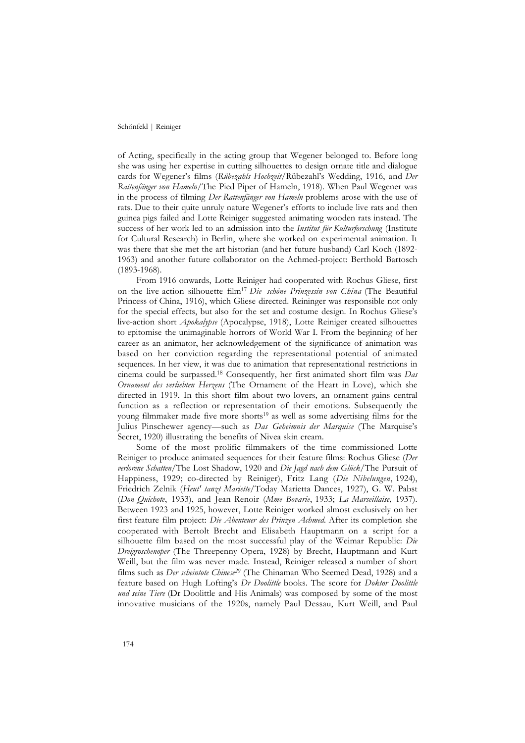of Acting, specifically in the acting group that Wegener belonged to. Before long she was using her expertise in cutting silhouettes to design ornate title and dialogue cards for Wegener's films (*Rübezahls Hochzeit*/Rübezahl's Wedding, 1916, and *Der Rattenfänger von Hameln*/The Pied Piper of Hameln, 1918). When Paul Wegener was in the process of filming *Der Rattenfänger von Hameln* problems arose with the use of rats. Due to their quite unruly nature Wegener's efforts to include live rats and then guinea pigs failed and Lotte Reiniger suggested animating wooden rats instead. The success of her work led to an admission into the *Institut für Kulturforschung* (Institute for Cultural Research) in Berlin, where she worked on experimental animation. It was there that she met the art historian (and her future husband) Carl Koch (1892- 1963) and another future collaborator on the Achmed-project: Berthold Bartosch (1893-1968).

From 1916 onwards, Lotte Reiniger had cooperated with Rochus Gliese, first on the live-action silhouette film17 *Die schöne Prinzessin von China* (The Beautiful Princess of China, 1916), which Gliese directed. Reininger was responsible not only for the special effects, but also for the set and costume design. In Rochus Gliese's live-action short *Apokalypse* (Apocalypse, 1918), Lotte Reiniger created silhouettes to epitomise the unimaginable horrors of World War I. From the beginning of her career as an animator, her acknowledgement of the significance of animation was based on her conviction regarding the representational potential of animated sequences. In her view, it was due to animation that representational restrictions in cinema could be surpassed.18 Consequently, her first animated short film was *Das Ornament des verliebten Herzens* (The Ornament of the Heart in Love), which she directed in 1919. In this short film about two lovers, an ornament gains central function as a reflection or representation of their emotions. Subsequently the young filmmaker made five more shorts<sup>19</sup> as well as some advertising films for the Julius Pinschewer agency—such as *Das Geheimnis der Marquise* (The Marquise's Secret, 1920) illustrating the benefits of Nivea skin cream.

Some of the most prolific filmmakers of the time commissioned Lotte Reiniger to produce animated sequences for their feature films: Rochus Gliese (*Der verlorene Schatten/*The Lost Shadow, 1920 and *Die Jagd nach dem Glück*/The Pursuit of Happiness, 1929; co-directed by Reiniger), Fritz Lang (*Die Nibelungen*, 1924), Friedrich Zelnik (*Heut' tanzt Mariette*/Today Marietta Dances, 1927), G. W. Pabst (*Don Quichote*, 1933), and Jean Renoir (*Mme Bovarie*, 1933; *La Marseillaise,* 1937). Between 1923 and 1925, however, Lotte Reiniger worked almost exclusively on her first feature film project: *Die Abenteuer des Prinzen Achmed.* After its completion she cooperated with Bertolt Brecht and Elisabeth Hauptmann on a script for a silhouette film based on the most successful play of the Weimar Republic: *Die Dreigroschenoper* (The Threepenny Opera, 1928) by Brecht, Hauptmann and Kurt Weill, but the film was never made. Instead, Reiniger released a number of short films such as *Der scheintote Chinese20* (The Chinaman Who Seemed Dead, 1928) and a feature based on Hugh Lofting's *Dr Doolittle* books. The score for *Doktor Doolittle und seine Tiere* (Dr Doolittle and His Animals) was composed by some of the most innovative musicians of the 1920s, namely Paul Dessau, Kurt Weill, and Paul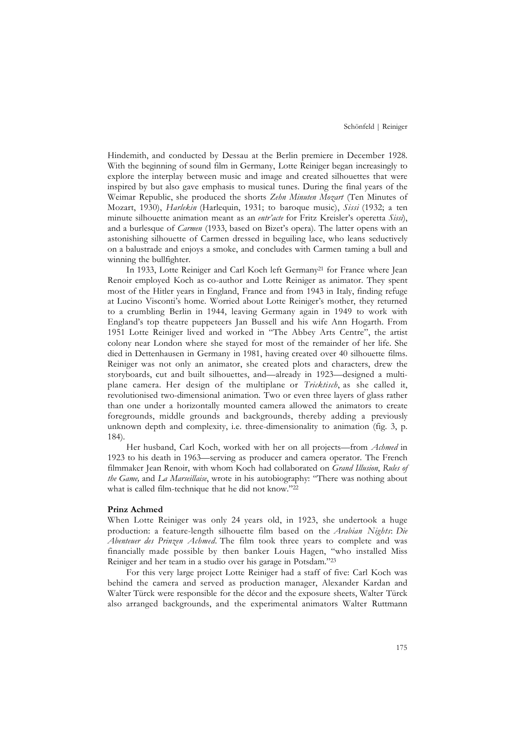Hindemith, and conducted by Dessau at the Berlin premiere in December 1928. With the beginning of sound film in Germany, Lotte Reiniger began increasingly to explore the interplay between music and image and created silhouettes that were inspired by but also gave emphasis to musical tunes. During the final years of the Weimar Republic, she produced the shorts *Zehn Minuten Mozart* (Ten Minutes of Mozart, 1930), *Harlekin* (Harlequin, 1931; to baroque music), *Sissi* (1932; a ten minute silhouette animation meant as an *entr'acte* for Fritz Kreisler's operetta *Sissi*), and a burlesque of *Carmen* (1933, based on Bizet's opera). The latter opens with an astonishing silhouette of Carmen dressed in beguiling lace, who leans seductively on a balustrade and enjoys a smoke, and concludes with Carmen taming a bull and winning the bullfighter.

In 1933, Lotte Reiniger and Carl Koch left Germany<sup>21</sup> for France where Jean Renoir employed Koch as co-author and Lotte Reiniger as animator. They spent most of the Hitler years in England, France and from 1943 in Italy, finding refuge at Lucino Visconti's home. Worried about Lotte Reiniger's mother, they returned to a crumbling Berlin in 1944, leaving Germany again in 1949 to work with England's top theatre puppeteers Jan Bussell and his wife Ann Hogarth. From 1951 Lotte Reiniger lived and worked in "The Abbey Arts Centre", the artist colony near London where she stayed for most of the remainder of her life. She died in Dettenhausen in Germany in 1981, having created over 40 silhouette films. Reiniger was not only an animator, she created plots and characters, drew the storyboards, cut and built silhouettes, and—already in 1923—designed a multiplane camera. Her design of the multiplane or *Tricktisch*, as she called it, revolutionised two-dimensional animation. Two or even three layers of glass rather than one under a horizontally mounted camera allowed the animators to create foregrounds, middle grounds and backgrounds, thereby adding a previously unknown depth and complexity, i.e. three-dimensionality to animation (fig. 3, p. 184).

Her husband, Carl Koch, worked with her on all projects—from *Achmed* in 1923 to his death in 1963—serving as producer and camera operator. The French filmmaker Jean Renoir, with whom Koch had collaborated on *Grand Illusion*, *Rules of the Game,* and *La Marseillaise*, wrote in his autobiography: "There was nothing about what is called film-technique that he did not know."22

# **Prinz Achmed**

When Lotte Reiniger was only 24 years old, in 1923, she undertook a huge production: a feature-length silhouette film based on the *Arabian Nights*: *Die Abenteuer des Prinzen Achmed*. The film took three years to complete and was financially made possible by then banker Louis Hagen, "who installed Miss Reiniger and her team in a studio over his garage in Potsdam."23

For this very large project Lotte Reiniger had a staff of five: Carl Koch was behind the camera and served as production manager, Alexander Kardan and Walter Türck were responsible for the décor and the exposure sheets, Walter Türck also arranged backgrounds, and the experimental animators Walter Ruttmann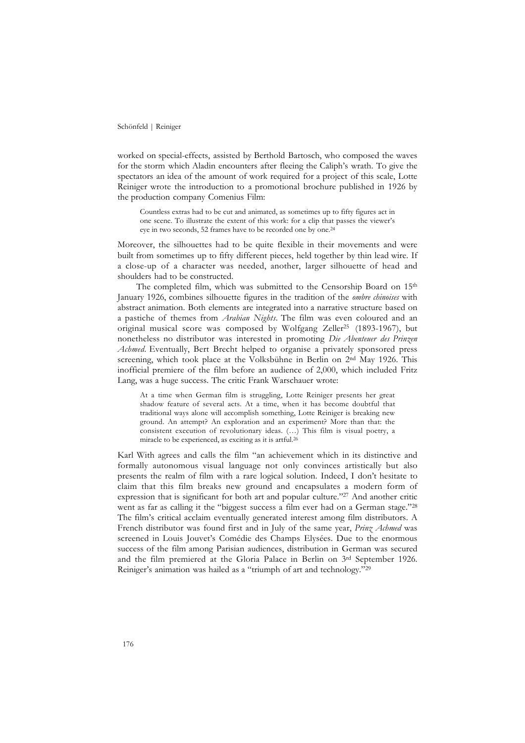worked on special-effects, assisted by Berthold Bartosch, who composed the waves for the storm which Aladin encounters after fleeing the Caliph's wrath. To give the spectators an idea of the amount of work required for a project of this scale, Lotte Reiniger wrote the introduction to a promotional brochure published in 1926 by the production company Comenius Film:

Countless extras had to be cut and animated, as sometimes up to fifty figures act in one scene. To illustrate the extent of this work: for a clip that passes the viewer's eye in two seconds, 52 frames have to be recorded one by one.24

Moreover, the silhouettes had to be quite flexible in their movements and were built from sometimes up to fifty different pieces, held together by thin lead wire. If a close-up of a character was needed, another, larger silhouette of head and shoulders had to be constructed.

The completed film, which was submitted to the Censorship Board on 15<sup>th</sup> January 1926, combines silhouette figures in the tradition of the *ombre chinoises* with abstract animation. Both elements are integrated into a narrative structure based on a pastiche of themes from *Arabian Nights*. The film was even coloured and an original musical score was composed by Wolfgang Zeller<sup>25</sup> (1893-1967), but nonetheless no distributor was interested in promoting *Die Abenteuer des Prinzen Achmed*. Eventually, Bert Brecht helped to organise a privately sponsored press screening, which took place at the Volksbühne in Berlin on 2nd May 1926. This inofficial premiere of the film before an audience of 2,000, which included Fritz Lang, was a huge success. The critic Frank Warschauer wrote:

At a time when German film is struggling, Lotte Reiniger presents her great shadow feature of several acts. At a time, when it has become doubtful that traditional ways alone will accomplish something, Lotte Reiniger is breaking new ground. An attempt? An exploration and an experiment? More than that: the consistent execution of revolutionary ideas. (…) This film is visual poetry, a miracle to be experienced, as exciting as it is artful.26

Karl With agrees and calls the film "an achievement which in its distinctive and formally autonomous visual language not only convinces artistically but also presents the realm of film with a rare logical solution. Indeed, I don't hesitate to claim that this film breaks new ground and encapsulates a modern form of expression that is significant for both art and popular culture."27 And another critic went as far as calling it the "biggest success a film ever had on a German stage."28 The film's critical acclaim eventually generated interest among film distributors. A French distributor was found first and in July of the same year, *Prinz Achmed* was screened in Louis Jouvet's Comédie des Champs Elysées. Due to the enormous success of the film among Parisian audiences, distribution in German was secured and the film premiered at the Gloria Palace in Berlin on 3rd September 1926. Reiniger's animation was hailed as a "triumph of art and technology."29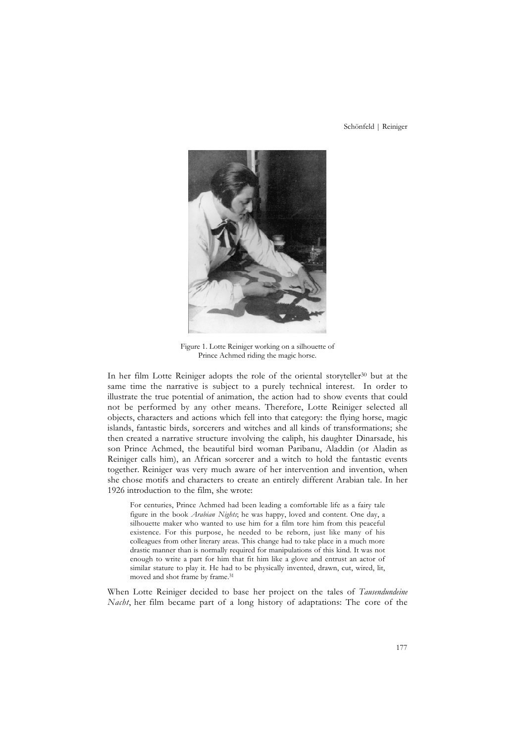

Figure 1. Lotte Reiniger working on a silhouette of Prince Achmed riding the magic horse.

In her film Lotte Reiniger adopts the role of the oriental storyteller<sup>30</sup> but at the same time the narrative is subject to a purely technical interest. In order to illustrate the true potential of animation, the action had to show events that could not be performed by any other means. Therefore, Lotte Reiniger selected all objects, characters and actions which fell into that category: the flying horse, magic islands, fantastic birds, sorcerers and witches and all kinds of transformations; she then created a narrative structure involving the caliph, his daughter Dinarsade, his son Prince Achmed, the beautiful bird woman Paribanu, Aladdin (or Aladin as Reiniger calls him), an African sorcerer and a witch to hold the fantastic events together. Reiniger was very much aware of her intervention and invention, when she chose motifs and characters to create an entirely different Arabian tale. In her 1926 introduction to the film, she wrote:

For centuries, Prince Achmed had been leading a comfortable life as a fairy tale figure in the book *Arabian Nights*; he was happy, loved and content. One day, a silhouette maker who wanted to use him for a film tore him from this peaceful existence. For this purpose, he needed to be reborn, just like many of his colleagues from other literary areas. This change had to take place in a much more drastic manner than is normally required for manipulations of this kind. It was not enough to write a part for him that fit him like a glove and entrust an actor of similar stature to play it. He had to be physically invented, drawn, cut, wired, lit, moved and shot frame by frame.31

When Lotte Reiniger decided to base her project on the tales of *Tausendundeine Nacht*, her film became part of a long history of adaptations: The core of the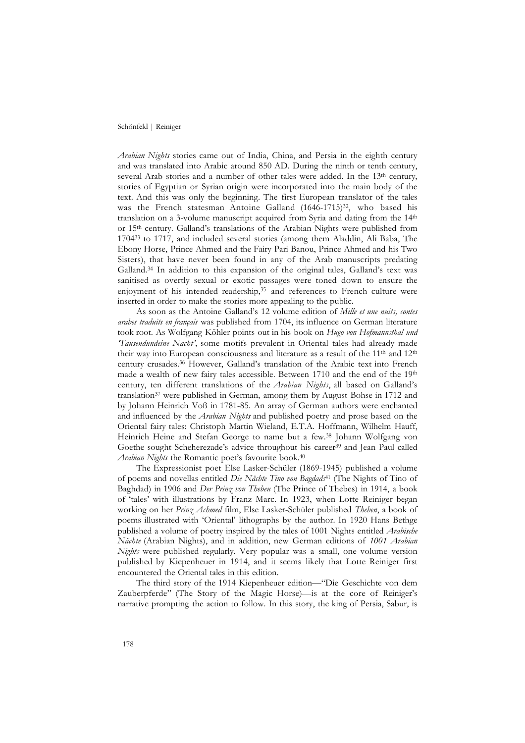*Arabian Nights* stories came out of India, China, and Persia in the eighth century and was translated into Arabic around 850 AD. During the ninth or tenth century, several Arab stories and a number of other tales were added. In the 13<sup>th</sup> century, stories of Egyptian or Syrian origin were incorporated into the main body of the text. And this was only the beginning. The first European translator of the tales was the French statesman Antoine Galland (1646-1715)<sup>32</sup>, who based his translation on a 3-volume manuscript acquired from Syria and dating from the 14th or 15th century. Galland's translations of the Arabian Nights were published from 170433 to 1717, and included several stories (among them Aladdin, Ali Baba, The Ebony Horse, Prince Ahmed and the Fairy Pari Banou, Prince Ahmed and his Two Sisters), that have never been found in any of the Arab manuscripts predating Galland.34 In addition to this expansion of the original tales, Galland's text was sanitised as overtly sexual or exotic passages were toned down to ensure the enjoyment of his intended readership,<sup>35</sup> and references to French culture were inserted in order to make the stories more appealing to the public.

As soon as the Antoine Galland's 12 volume edition of *Mille et une nuits, contes arabes traduits en français* was published from 1704, its influence on German literature took root. As Wolfgang Köhler points out in his book on *Hugo von Hofmannsthal und 'Tausendundeine Nacht'*, some motifs prevalent in Oriental tales had already made their way into European consciousness and literature as a result of the 11th and 12th century crusades.36 However, Galland's translation of the Arabic text into French made a wealth of new fairy tales accessible. Between 1710 and the end of the 19th century, ten different translations of the *Arabian Nights*, all based on Galland's translation37 were published in German, among them by August Bohse in 1712 and by Johann Heinrich Voß in 1781-85. An array of German authors were enchanted and influenced by the *Arabian Nights* and published poetry and prose based on the Oriental fairy tales: Christoph Martin Wieland, E.T.A. Hoffmann, Wilhelm Hauff, Heinrich Heine and Stefan George to name but a few.38 Johann Wolfgang von Goethe sought Scheherezade's advice throughout his career<sup>39</sup> and Jean Paul called *Arabian Nights* the Romantic poet's favourite book.40

The Expressionist poet Else Lasker-Schüler (1869-1945) published a volume of poems and novellas entitled *Die Nächte Tino von Bagdads*<sup>41</sup> (The Nights of Tino of Baghdad) in 1906 and *Der Prinz von Theben* (The Prince of Thebes) in 1914, a book of 'tales' with illustrations by Franz Marc. In 1923, when Lotte Reiniger began working on her *Prinz Achmed* film, Else Lasker-Schüler published *Theben*, a book of poems illustrated with 'Oriental' lithographs by the author. In 1920 Hans Bethge published a volume of poetry inspired by the tales of 1001 Nights entitled *Arabische Nächte* (Arabian Nights), and in addition, new German editions of *1001 Arabian Nights* were published regularly. Very popular was a small, one volume version published by Kiepenheuer in 1914, and it seems likely that Lotte Reiniger first encountered the Oriental tales in this edition.

The third story of the 1914 Kiepenheuer edition—"Die Geschichte von dem Zauberpferde" (The Story of the Magic Horse)—is at the core of Reiniger's narrative prompting the action to follow. In this story, the king of Persia, Sabur, is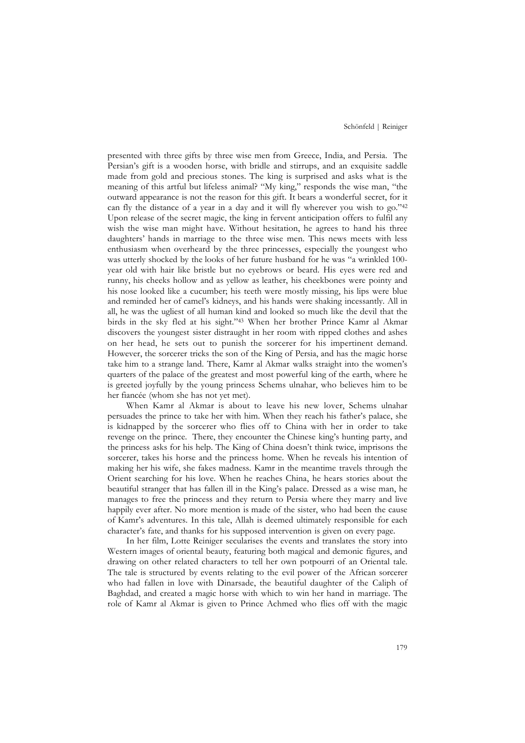presented with three gifts by three wise men from Greece, India, and Persia. The Persian's gift is a wooden horse, with bridle and stirrups, and an exquisite saddle made from gold and precious stones. The king is surprised and asks what is the meaning of this artful but lifeless animal? "My king," responds the wise man, "the outward appearance is not the reason for this gift. It bears a wonderful secret, for it can fly the distance of a year in a day and it will fly wherever you wish to go."42 Upon release of the secret magic, the king in fervent anticipation offers to fulfil any wish the wise man might have. Without hesitation, he agrees to hand his three daughters' hands in marriage to the three wise men. This news meets with less enthusiasm when overheard by the three princesses, especially the youngest who was utterly shocked by the looks of her future husband for he was "a wrinkled 100 year old with hair like bristle but no eyebrows or beard. His eyes were red and runny, his cheeks hollow and as yellow as leather, his cheekbones were pointy and his nose looked like a cucumber; his teeth were mostly missing, his lips were blue and reminded her of camel's kidneys, and his hands were shaking incessantly. All in all, he was the ugliest of all human kind and looked so much like the devil that the birds in the sky fled at his sight."43 When her brother Prince Kamr al Akmar discovers the youngest sister distraught in her room with ripped clothes and ashes on her head, he sets out to punish the sorcerer for his impertinent demand. However, the sorcerer tricks the son of the King of Persia, and has the magic horse take him to a strange land. There, Kamr al Akmar walks straight into the women's quarters of the palace of the greatest and most powerful king of the earth, where he is greeted joyfully by the young princess Schems ulnahar, who believes him to be her fiancée (whom she has not yet met).

When Kamr al Akmar is about to leave his new lover, Schems ulnahar persuades the prince to take her with him. When they reach his father's palace, she is kidnapped by the sorcerer who flies off to China with her in order to take revenge on the prince. There, they encounter the Chinese king's hunting party, and the princess asks for his help. The King of China doesn't think twice, imprisons the sorcerer, takes his horse and the princess home. When he reveals his intention of making her his wife, she fakes madness. Kamr in the meantime travels through the Orient searching for his love. When he reaches China, he hears stories about the beautiful stranger that has fallen ill in the King's palace. Dressed as a wise man, he manages to free the princess and they return to Persia where they marry and live happily ever after. No more mention is made of the sister, who had been the cause of Kamr's adventures. In this tale, Allah is deemed ultimately responsible for each character's fate, and thanks for his supposed intervention is given on every page.

In her film, Lotte Reiniger secularises the events and translates the story into Western images of oriental beauty, featuring both magical and demonic figures, and drawing on other related characters to tell her own potpourri of an Oriental tale. The tale is structured by events relating to the evil power of the African sorcerer who had fallen in love with Dinarsade, the beautiful daughter of the Caliph of Baghdad, and created a magic horse with which to win her hand in marriage. The role of Kamr al Akmar is given to Prince Achmed who flies off with the magic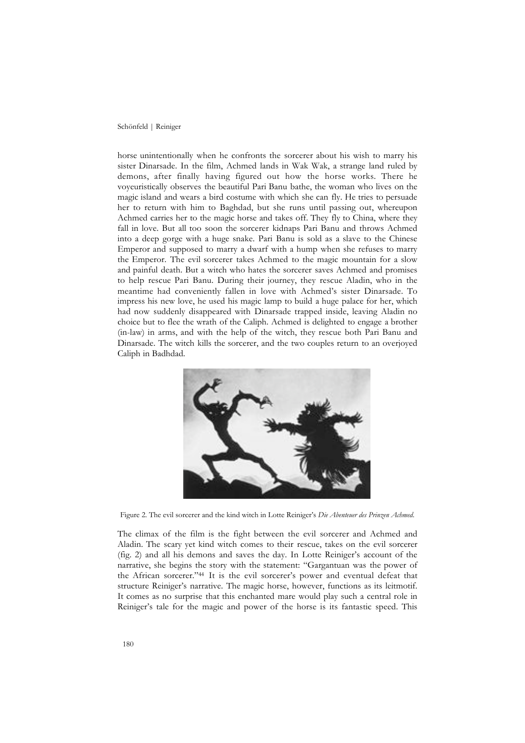horse unintentionally when he confronts the sorcerer about his wish to marry his sister Dinarsade. In the film, Achmed lands in Wak Wak, a strange land ruled by demons, after finally having figured out how the horse works. There he voyeuristically observes the beautiful Pari Banu bathe, the woman who lives on the magic island and wears a bird costume with which she can fly. He tries to persuade her to return with him to Baghdad, but she runs until passing out, whereupon Achmed carries her to the magic horse and takes off. They fly to China, where they fall in love. But all too soon the sorcerer kidnaps Pari Banu and throws Achmed into a deep gorge with a huge snake. Pari Banu is sold as a slave to the Chinese Emperor and supposed to marry a dwarf with a hump when she refuses to marry the Emperor. The evil sorcerer takes Achmed to the magic mountain for a slow and painful death. But a witch who hates the sorcerer saves Achmed and promises to help rescue Pari Banu. During their journey, they rescue Aladin, who in the meantime had conveniently fallen in love with Achmed's sister Dinarsade. To impress his new love, he used his magic lamp to build a huge palace for her, which had now suddenly disappeared with Dinarsade trapped inside, leaving Aladin no choice but to flee the wrath of the Caliph. Achmed is delighted to engage a brother (in-law) in arms, and with the help of the witch, they rescue both Pari Banu and Dinarsade. The witch kills the sorcerer, and the two couples return to an overjoyed Caliph in Badhdad.



Figure 2. The evil sorcerer and the kind witch in Lotte Reiniger's *Die Abenteuer des Prinzen Achmed*.

The climax of the film is the fight between the evil sorcerer and Achmed and Aladin. The scary yet kind witch comes to their rescue, takes on the evil sorcerer (fig. 2) and all his demons and saves the day. In Lotte Reiniger's account of the narrative, she begins the story with the statement: "Gargantuan was the power of the African sorcerer."44 It is the evil sorcerer's power and eventual defeat that structure Reiniger's narrative. The magic horse, however, functions as its leitmotif. It comes as no surprise that this enchanted mare would play such a central role in Reiniger's tale for the magic and power of the horse is its fantastic speed. This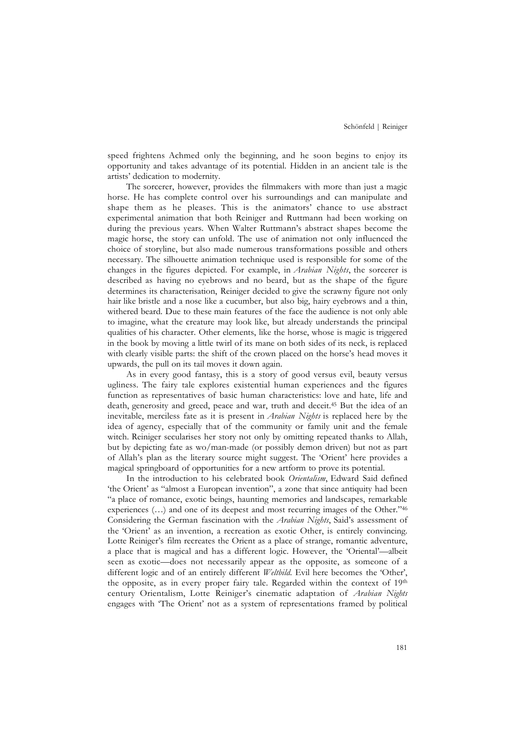speed frightens Achmed only the beginning, and he soon begins to enjoy its opportunity and takes advantage of its potential. Hidden in an ancient tale is the artists' dedication to modernity.

The sorcerer, however, provides the filmmakers with more than just a magic horse. He has complete control over his surroundings and can manipulate and shape them as he pleases. This is the animators' chance to use abstract experimental animation that both Reiniger and Ruttmann had been working on during the previous years. When Walter Ruttmann's abstract shapes become the magic horse, the story can unfold. The use of animation not only influenced the choice of storyline, but also made numerous transformations possible and others necessary. The silhouette animation technique used is responsible for some of the changes in the figures depicted. For example, in *Arabian Nights*, the sorcerer is described as having no eyebrows and no beard, but as the shape of the figure determines its characterisation, Reiniger decided to give the scrawny figure not only hair like bristle and a nose like a cucumber, but also big, hairy eyebrows and a thin, withered beard. Due to these main features of the face the audience is not only able to imagine, what the creature may look like, but already understands the principal qualities of his character. Other elements, like the horse, whose is magic is triggered in the book by moving a little twirl of its mane on both sides of its neck, is replaced with clearly visible parts: the shift of the crown placed on the horse's head moves it upwards, the pull on its tail moves it down again.

As in every good fantasy, this is a story of good versus evil, beauty versus ugliness. The fairy tale explores existential human experiences and the figures function as representatives of basic human characteristics: love and hate, life and death, generosity and greed, peace and war, truth and deceit.45 But the idea of an inevitable, merciless fate as it is present in *Arabian Nights* is replaced here by the idea of agency, especially that of the community or family unit and the female witch. Reiniger secularises her story not only by omitting repeated thanks to Allah, but by depicting fate as wo/man-made (or possibly demon driven) but not as part of Allah's plan as the literary source might suggest. The 'Orient' here provides a magical springboard of opportunities for a new artform to prove its potential.

In the introduction to his celebrated book *Orientalism*, Edward Said defined 'the Orient' as "almost a European invention", a zone that since antiquity had been "a place of romance, exotic beings, haunting memories and landscapes, remarkable experiences (…) and one of its deepest and most recurring images of the Other."46 Considering the German fascination with the *Arabian Nights*, Said's assessment of the 'Orient' as an invention, a recreation as exotic Other, is entirely convincing. Lotte Reiniger's film recreates the Orient as a place of strange, romantic adventure, a place that is magical and has a different logic. However, the 'Oriental'—albeit seen as exotic—does not necessarily appear as the opposite, as someone of a different logic and of an entirely different *Weltbild*. Evil here becomes the 'Other', the opposite, as in every proper fairy tale. Regarded within the context of 19th century Orientalism, Lotte Reiniger's cinematic adaptation of *Arabian Nights* engages with 'The Orient' not as a system of representations framed by political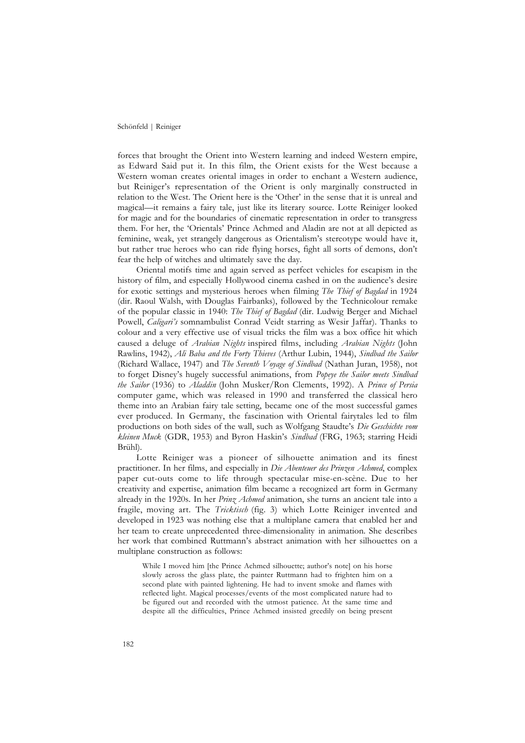forces that brought the Orient into Western learning and indeed Western empire, as Edward Said put it. In this film, the Orient exists for the West because a Western woman creates oriental images in order to enchant a Western audience, but Reiniger's representation of the Orient is only marginally constructed in relation to the West. The Orient here is the 'Other' in the sense that it is unreal and magical—it remains a fairy tale, just like its literary source. Lotte Reiniger looked for magic and for the boundaries of cinematic representation in order to transgress them. For her, the 'Orientals' Prince Achmed and Aladin are not at all depicted as feminine, weak, yet strangely dangerous as Orientalism's stereotype would have it, but rather true heroes who can ride flying horses, fight all sorts of demons, don't fear the help of witches and ultimately save the day.

Oriental motifs time and again served as perfect vehicles for escapism in the history of film, and especially Hollywood cinema cashed in on the audience's desire for exotic settings and mysterious heroes when filming *The Thief of Bagdad* in 1924 (dir. Raoul Walsh, with Douglas Fairbanks), followed by the Technicolour remake of the popular classic in 1940: *The Thief of Bagdad* (dir. Ludwig Berger and Michael Powell, *Caligari's* somnambulist Conrad Veidt starring as Wesir Jaffar). Thanks to colour and a very effective use of visual tricks the film was a box office hit which caused a deluge of *Arabian Nights* inspired films, including *Arabian Nights* (John Rawlins, 1942), *Ali Baba and the Forty Thieves* (Arthur Lubin, 1944), *Sindbad the Sailor* (Richard Wallace, 1947) and *The Seventh Voyage of Sindbad* (Nathan Juran, 1958), not to forget Disney's hugely successful animations, from *Popeye the Sailor meets Sindbad the Sailor* (1936) to *Aladdin* (John Musker/Ron Clements, 1992). A *Prince of Persia* computer game, which was released in 1990 and transferred the classical hero theme into an Arabian fairy tale setting, became one of the most successful games ever produced. In Germany, the fascination with Oriental fairytales led to film productions on both sides of the wall, such as Wolfgang Staudte's *Die Geschichte vom kleinen Muck* (GDR, 1953) and Byron Haskin's *Sindbad* (FRG, 1963; starring Heidi Brühl).

Lotte Reiniger was a pioneer of silhouette animation and its finest practitioner. In her films, and especially in *Die Abenteuer des Prinzen Achmed*, complex paper cut-outs come to life through spectacular mise-en-scène. Due to her creativity and expertise, animation film became a recognized art form in Germany already in the 1920s. In her *Prinz Achmed* animation, she turns an ancient tale into a fragile, moving art. The *Tricktisch* (fig. 3) which Lotte Reiniger invented and developed in 1923 was nothing else that a multiplane camera that enabled her and her team to create unprecedented three-dimensionality in animation. She describes her work that combined Ruttmann's abstract animation with her silhouettes on a multiplane construction as follows:

While I moved him [the Prince Achmed silhouette; author's note] on his horse slowly across the glass plate, the painter Ruttmann had to frighten him on a second plate with painted lightening. He had to invent smoke and flames with reflected light. Magical processes/events of the most complicated nature had to be figured out and recorded with the utmost patience. At the same time and despite all the difficulties, Prince Achmed insisted greedily on being present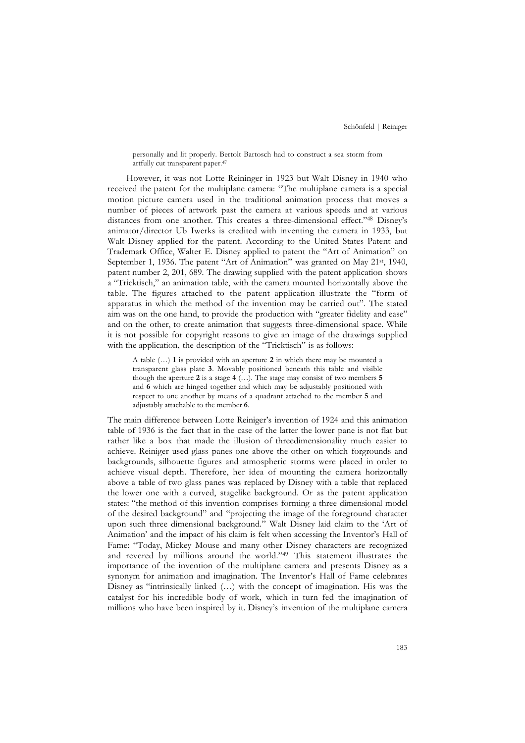personally and lit properly. Bertolt Bartosch had to construct a sea storm from artfully cut transparent paper.47

However, it was not Lotte Reininger in 1923 but Walt Disney in 1940 who received the patent for the multiplane camera: "The multiplane camera is a special motion picture camera used in the traditional animation process that moves a number of pieces of artwork past the camera at various speeds and at various distances from one another. This creates a three-dimensional effect."48 Disney's animator/director Ub Iwerks is credited with inventing the camera in 1933, but Walt Disney applied for the patent. According to the United States Patent and Trademark Office, Walter E. Disney applied to patent the "Art of Animation" on September 1, 1936. The patent "Art of Animation" was granted on May 21st, 1940, patent number 2, 201, 689. The drawing supplied with the patent application shows a "Tricktisch," an animation table, with the camera mounted horizontally above the table. The figures attached to the patent application illustrate the "form of apparatus in which the method of the invention may be carried out". The stated aim was on the one hand, to provide the production with "greater fidelity and ease" and on the other, to create animation that suggests three-dimensional space. While it is not possible for copyright reasons to give an image of the drawings supplied with the application, the description of the "Tricktisch" is as follows:

A table (…) **1** is provided with an aperture **2** in which there may be mounted a transparent glass plate **3**. Movably positioned beneath this table and visible though the aperture **2** is a stage **4** (…). The stage may consist of two members **5** and **6** which are hinged together and which may be adjustably positioned with respect to one another by means of a quadrant attached to the member **5** and adjustably attachable to the member **6**.

The main difference between Lotte Reiniger's invention of 1924 and this animation table of 1936 is the fact that in the case of the latter the lower pane is not flat but rather like a box that made the illusion of threedimensionality much easier to achieve. Reiniger used glass panes one above the other on which forgrounds and backgrounds, silhouette figures and atmospheric storms were placed in order to achieve visual depth. Therefore, her idea of mounting the camera horizontally above a table of two glass panes was replaced by Disney with a table that replaced the lower one with a curved, stagelike background. Or as the patent application states: "the method of this invention comprises forming a three dimensional model of the desired background" and "projecting the image of the foreground character upon such three dimensional background." Walt Disney laid claim to the 'Art of Animation' and the impact of his claim is felt when accessing the Inventor's Hall of Fame: "Today, Mickey Mouse and many other Disney characters are recognized and revered by millions around the world."49 This statement illustrates the importance of the invention of the multiplane camera and presents Disney as a synonym for animation and imagination. The Inventor's Hall of Fame celebrates Disney as "intrinsically linked (…) with the concept of imagination. His was the catalyst for his incredible body of work, which in turn fed the imagination of millions who have been inspired by it. Disney's invention of the multiplane camera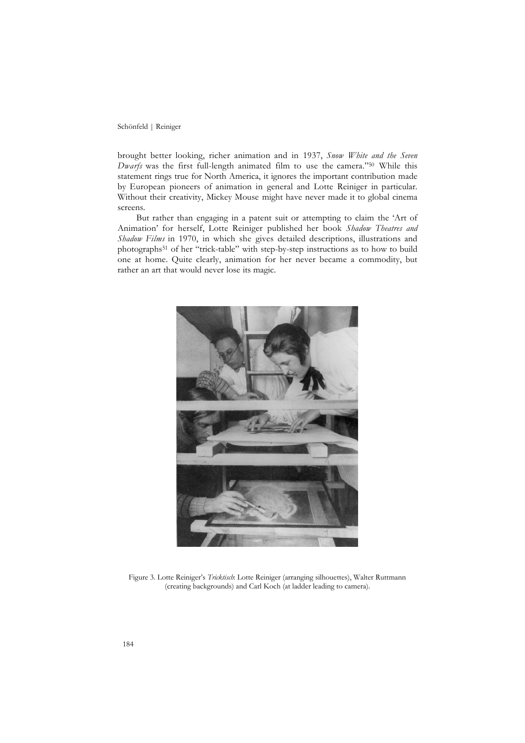brought better looking, richer animation and in 1937, *Snow White and the Seven Dwarfs* was the first full-length animated film to use the camera."50 While this statement rings true for North America, it ignores the important contribution made by European pioneers of animation in general and Lotte Reiniger in particular. Without their creativity, Mickey Mouse might have never made it to global cinema screens.

But rather than engaging in a patent suit or attempting to claim the 'Art of Animation' for herself, Lotte Reiniger published her book *Shadow Theatres and Shadow Films* in 1970, in which she gives detailed descriptions, illustrations and photographs51 of her "trick-table" with step-by-step instructions as to how to build one at home. Quite clearly, animation for her never became a commodity, but rather an art that would never lose its magic.



Figure 3. Lotte Reiniger's *Tricktisch*: Lotte Reiniger (arranging silhouettes), Walter Ruttmann (creating backgrounds) and Carl Koch (at ladder leading to camera).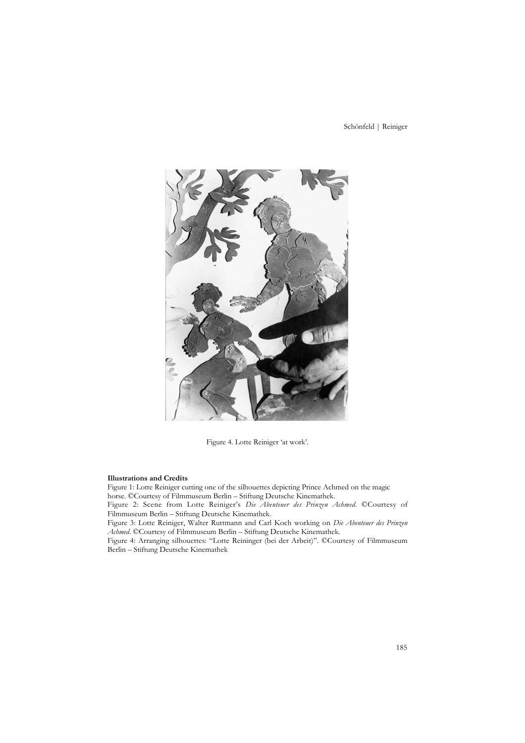

Figure 4. Lotte Reiniger 'at work'.

#### **Illustrations and Credits**

Figure 1: Lotte Reiniger cutting one of the silhouettes depicting Prince Achmed on the magic horse. ©Courtesy of Filmmuseum Berlin – Stiftung Deutsche Kinemathek.

Figure 2: Scene from Lotte Reiniger's *Die Abenteuer des Prinzen Achmed*. ©Courtesy of Filmmuseum Berlin – Stiftung Deutsche Kinemathek.

Figure 3: Lotte Reiniger, Walter Ruttmann and Carl Koch working on *Die Abenteuer des Prinzen Achmed*. ©Courtesy of Filmmuseum Berlin – Stiftung Deutsche Kinemathek.

Figure 4: Arranging silhouettes: "Lotte Reininger (bei der Arbeit)". ©Courtesy of Filmmuseum Berlin – Stiftung Deutsche Kinemathek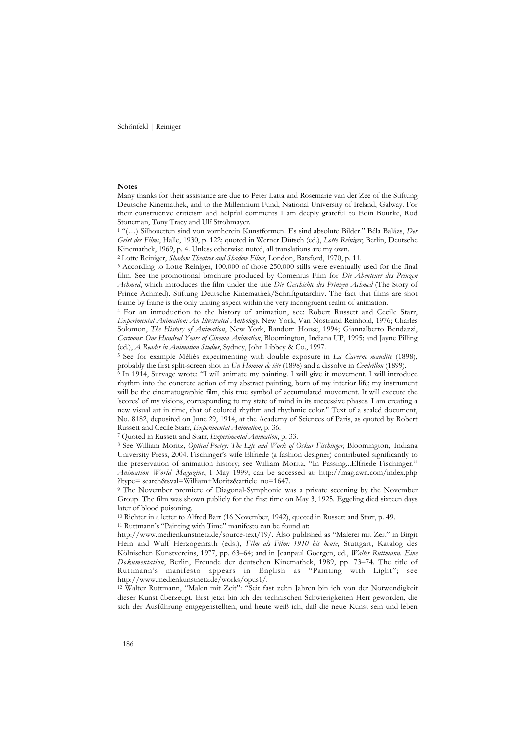#### **Notes**

 $\overline{a}$ 

<sup>1</sup> "(…) Silhouetten sind von vornherein Kunstformen. Es sind absolute Bilder." Béla Balázs, *Der Geist des Films*, Halle, 1930, p. 122; quoted in Werner Dütsch (ed.), *Lotte Reiniger*, Berlin, Deutsche Kinemathek, 1969, p. 4. Unless otherwise noted, all translations are my own.

2 Lotte Reiniger, *Shadow Theatres and Shadow Films*, London, Batsford, 1970, p. 11.

<sup>3</sup> According to Lotte Reiniger, 100,000 of those 250,000 stills were eventually used for the final film. See the promotional brochure produced by Comenius Film for *Die Abenteuer des Prinzen Achmed*, which introduces the film under the title *Die Geschichte des Prinzen Achmed* (The Story of Prince Achmed). Stiftung Deutsche Kinemathek/Schriftgutarchiv. The fact that films are shot frame by frame is the only uniting aspect within the very incongruent realm of animation.

<sup>4</sup> For an introduction to the history of animation, see: Robert Russett and Cecile Starr, *Experimental Animation: An Illustrated Anthology*, New York, Van Nostrand Reinhold, 1976; Charles Solomon, *The History of Animation*, New York, Random House, 1994; Giannalberto Bendazzi, *Cartoons: One Hundred Years of Cinema Animation*, Bloomington, Indiana UP, 1995; and Jayne Pilling (ed.), *A Reader in Animation Studies*, Sydney, John Libbey & Co., 1997.

<sup>5</sup> See for example Méliès experimenting with double exposure in *La Caverne maudite* (1898), probably the first split-screen shot in *Un Homme de tête* (1898) and a dissolve in *Cendrillon* (1899).

<sup>6</sup> In 1914, Survage wrote: "I will animate my painting. I will give it movement. I will introduce rhythm into the concrete action of my abstract painting, born of my interior life; my instrument will be the cinematographic film, this true symbol of accumulated movement. It will execute the 'scores' of my visions, corresponding to my state of mind in its successive phases. I am creating a new visual art in time, that of colored rhythm and rhythmic color." Text of a sealed document, No. 8182, deposited on June 29, 1914, at the Academy of Sciences of Paris, as quoted by Robert Russett and Cecile Starr, *Experimental Animation,* p. 36.

7 Quoted in Russett and Starr, *Experimental Animation*, p. 33.

<sup>8</sup> See William Moritz, *Optical Poetry: The Life and Work of Oskar Fischinger,* Bloomington, Indiana University Press, 2004. Fischinger's wife Elfriede (a fashion designer) contributed significantly to the preservation of animation history; see William Moritz, "In Passing...Elfriede Fischinger." *Animation World Magazine*, 1 May 1999; can be accessed at: http://mag.awn.com/index.php ?ltype= search&sval=William+Moritz&article\_no=1647.

<sup>9</sup> The November premiere of Diagonal-Symphonie was a private sceening by the November Group. The film was shown publicly for the first time on May 3, 1925. Eggeling died sixteen days later of blood poisoning.

10 Richter in a letter to Alfred Barr (16 November, 1942), quoted in Russett and Starr, p. 49.

11 Ruttmann's "Painting with Time" manifesto can be found at:

http://www.medienkunstnetz.de/source-text/19/. Also published as "Malerei mit Zeit" in Birgit Hein and Wulf Herzogenrath (eds.), *Film als Film: 1910 bis heute*, Stuttgart, Katalog des Kölnischen Kunstvereins, 1977, pp. 63–64; and in Jeanpaul Goergen, ed., *Walter Ruttmann. Eine Dokumentation*, Berlin, Freunde der deutschen Kinemathek, 1989, pp. 73–74. The title of Ruttmann's manifesto appears in English as "Painting with Light"; see http://www.medienkunstnetz.de/works/opus1/.

<sup>12</sup> Walter Ruttmann, "Malen mit Zeit": "Seit fast zehn Jahren bin ich von der Notwendigkeit dieser Kunst überzeugt. Erst jetzt bin ich der technischen Schwierigkeiten Herr geworden, die sich der Ausführung entgegenstellten, und heute weiß ich, daß die neue Kunst sein und leben

Many thanks for their assistance are due to Peter Latta and Rosemarie van der Zee of the Stiftung Deutsche Kinemathek, and to the Millennium Fund, National University of Ireland, Galway. For their constructive criticism and helpful comments I am deeply grateful to Eoin Bourke, Rod Stoneman, Tony Tracy and Ulf Strohmayer.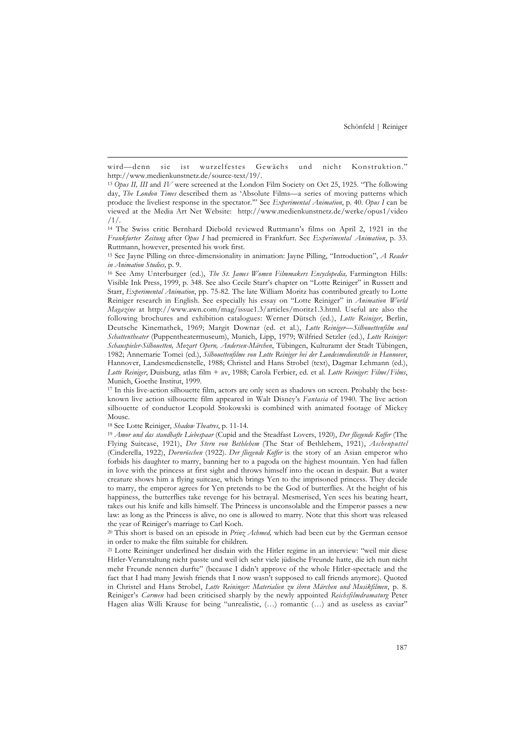<sup>17</sup> In this live-action silhouette film, actors are only seen as shadows on screen. Probably the bestknown live action silhouette film appeared in Walt Disney's *Fantasia* of 1940. The live action silhouette of conductor Leopold Stokowski is combined with animated footage of Mickey Mouse.

18 See Lotte Reiniger, *Shadow Theatres*, p. 11-14.

l

<sup>19</sup> *Amor und das standhafte Liebespaar* (Cupid and the Steadfast Lovers, 1920), *Der fliegende Koffer* (The Flying Suitcase, 1921), *Der Stern von Bethlehem* (The Star of Bethlehem, 1921), *Aschenputtel* (Cinderella, 1922), *Dornröschen* (1922). *Der fliegende Koffer* is the story of an Asian emperor who forbids his daughter to marry, banning her to a pagoda on the highest mountain. Yen had fallen in love with the princess at first sight and throws himself into the ocean in despair. But a water creature shows him a flying suitcase, which brings Yen to the imprisoned princess. They decide to marry, the emperor agrees for Yen pretends to be the God of butterflies. At the height of his happiness, the butterflies take revenge for his betrayal. Mesmerised, Yen sees his beating heart, takes out his knife and kills himself. The Princess is unconsolable and the Emperor passes a new law: as long as the Princess is alive, no one is allowed to marry. Note that this short was released the year of Reiniger's marriage to Carl Koch.

<sup>20</sup> This short is based on an episode in *Prinz Achmed,* which had been cut by the German censor in order to make the film suitable for children.

<sup>21</sup> Lotte Reininger underlined her disdain with the Hitler regime in an interview: "weil mir diese Hitler-Veranstaltung nicht passte und weil ich sehr viele jüdische Freunde hatte, die ich nun nicht mehr Freunde nennen durfte" (because I didn't approve of the whole Hitler-spectacle and the fact that I had many Jewish friends that I now wasn't supposed to call friends anymore). Quoted in Christel and Hans Strobel, *Lotte Reininger: Materialien zu ihren Märchen und Musikfilmen*, p. 8. Reiniger's *Carmen* had been criticised sharply by the newly appointed *Reichsfilmdramaturg* Peter Hagen alias Willi Krause for being "unrealistic, (...) romantic (...) and as useless as caviar"

wird—denn sie ist wurzelfestes Gewächs und nicht Konstruktion." http://www.medienkunstnetz.de/source-text/19/.

<sup>13</sup> *Opus II, III* and *IV* were screened at the London Film Society on Oct 25, 1925. "The following day, *The London Times* described them as 'Absolute Films-a series of moving patterns which produce the liveliest response in the spectator.'" See *Experimental Animation*, p. 40. *Opus I* can be viewed at the Media Art Net Website: http://www.medienkunstnetz.de/werke/opus1/video /1/.

<sup>14</sup> The Swiss critic Bernhard Diebold reviewed Ruttmann's films on April 2, 1921 in the *Frankfurter Zeitung* after *Opus I* had premiered in Frankfurt. See *Experimental Animation*, p. 33. Ruttmann, however, presented his work first.

<sup>15</sup> See Jayne Pilling on three-dimensionality in animation: Jayne Pilling, "Introduction", *A Reader in Animation Studies,* p. 9.

<sup>&</sup>lt;sup>16</sup> See Amy Unterburger (ed.), *The St. James Women Filmmakers Encyclopedia*, Farmington Hills: Visible Ink Press, 1999, p. 348. See also Cecile Starr's chapter on "Lotte Reiniger" in Russett and Starr, *Experimental Animation*, pp. 75-82. The late William Moritz has contributed greatly to Lotte Reiniger research in English. See especially his essay on "Lotte Reiniger" in *Animation World Magazine* at http://www.awn.com/mag/issue1.3/articles/moritz1.3.html. Useful are also the following brochures and exhibition catalogues: Werner Dütsch (ed.), *Lotte Reiniger*, Berlin, Deutsche Kinemathek, 1969; Margit Downar (ed. et al.), *Lotte Reiniger—Silhouettenfilm und Schattentheater* (Puppentheatermuseum), Munich, Lipp, 1979; Wilfried Setzler (ed.), *Lotte Reiniger: Schauspieler-Silhouetten, Mozart Opern, Andersen-Märchen*, Tübingen, Kulturamt der Stadt Tübingen, 1982; Annemarie Tomei (ed.), *Silhouettenfilme von Lotte Reiniger bei der Landesmedienstelle in Hannover*, Hannover, Landesmedienstelle, 1988; Christel and Hans Strobel (text), Dagmar Lehmann (ed.), *Lotte Reiniger*, Duisburg, atlas film + av, 1988; Carola Ferbier, ed. et al. *Lotte Reiniger: Filme/Films*, Munich, Goethe Institut, 1999.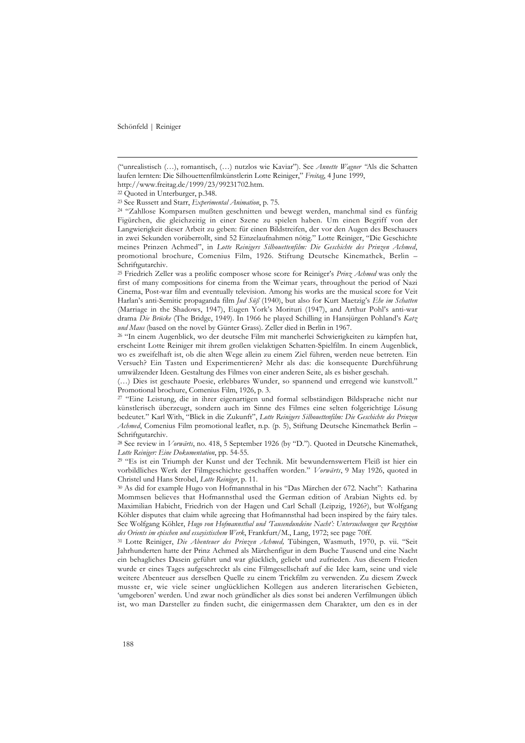l

("unrealistisch (…), romantisch, (…) nutzlos wie Kaviar"). See *Annette Wagner "*Als die Schatten laufen lernten: Die Silhouettenfilmkünstlerin Lotte Reiniger," *Freitag*, 4 June 1999, http://www.freitag.de/1999/23/99231702.htm.

22 Quoted in Unterburger, p.348.

23 See Russett and Starr, *Experimental Animation*, p. 75.

<sup>24</sup> "Zahllose Komparsen mußten geschnitten und bewegt werden, manchmal sind es fünfzig Figürchen, die gleichzeitig in einer Szene zu spielen haben. Um einen Begriff von der Langwierigkeit dieser Arbeit zu geben: für einen Bildstreifen, der vor den Augen des Beschauers in zwei Sekunden vorüberrollt, sind 52 Einzelaufnahmen nötig." Lotte Reiniger, "Die Geschichte meines Prinzen Achmed", in *Lotte Reinigers Silhouettenfilm: Die Geschichte des Prinzen Achmed*, promotional brochure, Comenius Film, 1926. Stiftung Deutsche Kinemathek, Berlin – Schriftgutarchiv.

<sup>25</sup> Friedrich Zeller was a prolific composer whose score for Reiniger's *Prinz Achmed* was only the first of many compositions for cinema from the Weimar years, throughout the period of Nazi Cinema, Post-war film and eventually television. Among his works are the musical score for Veit Harlan's anti-Semitic propaganda film *Jud Süß* (1940), but also for Kurt Maetzig's *Ehe im Schatten* (Marriage in the Shadows, 1947), Eugen York's Morituri (1947), and Arthur Pohl's anti-war drama *Die Brücke* (The Bridge, 1949). In 1966 he played Schilling in Hansjürgen Pohland's *Katz und Maus* (based on the novel by Günter Grass). Zeller died in Berlin in 1967.

<sup>26</sup> "In einem Augenblick, wo der deutsche Film mit mancherlei Schwierigkeiten zu kämpfen hat, erscheint Lotte Reiniger mit ihrem großen vielaktigen Schatten-Spielfilm. In einem Augenblick, wo es zweifelhaft ist, ob die alten Wege allein zu einem Ziel führen, werden neue betreten. Ein Versuch? Ein Tasten und Experimentieren? Mehr als das: die konsequente Durchführung umwälzender Ideen. Gestaltung des Filmes von einer anderen Seite, als es bisher geschah.

(…) Dies ist geschaute Poesie, erlebbares Wunder, so spannend und erregend wie kunstvoll." Promotional brochure, Comenius Film, 1926, p. 3.

<sup>27</sup> "Eine Leistung, die in ihrer eigenartigen und formal selbständigen Bildsprache nicht nur künstlerisch überzeugt, sondern auch im Sinne des Filmes eine selten folgerichtige Lösung bedeutet." Karl With, "Blick in die Zukunft", *Lotte Reinigers Silhouettenfilm: Die Geschichte des Prinzen Achmed*, Comenius Film promotional leaflet, n.p. (p. 5), Stiftung Deutsche Kinemathek Berlin – Schriftgutarchiv.

<sup>28</sup> See review in *Vorwärts*, no. 418, 5 September 1926 (by "D."). Quoted in Deutsche Kinemathek, *Lotte Reiniger: Eine Dokumentation*, pp. 54-55.

<sup>29</sup> "Es ist ein Triumph der Kunst und der Technik. Mit bewundernswertem Fleiß ist hier ein vorbildliches Werk der Filmgeschichte geschaffen worden." *Vorwärts*, 9 May 1926, quoted in Christel und Hans Strobel, *Lotte Reiniger*, p. 11.

<sup>30</sup> As did for example Hugo von Hofmannsthal in his "Das Märchen der 672. Nacht": Katharina Mommsen believes that Hofmannsthal used the German edition of Arabian Nights ed. by Maximilian Habicht, Friedrich von der Hagen und Carl Schall (Leipzig, 1926?), but Wolfgang Köhler disputes that claim while agreeing that Hofmannsthal had been inspired by the fairy tales. See Wolfgang Köhler, *Hugo von Hofmannsthal und 'Tausendundeine Nacht': Untersuchungen zur Rezeption des Orients im epischen und essayistischem Werk*, Frankfurt/M., Lang, 1972; see page 70ff.

<sup>31</sup> Lotte Reiniger, *Die Abenteuer des Prinzen Achmed,* Tübingen, Wasmuth, 1970, p. vii. "Seit Jahrhunderten hatte der Prinz Achmed als Märchenfigur in dem Buche Tausend und eine Nacht ein behagliches Dasein geführt und war glücklich, geliebt und zufrieden. Aus diesem Frieden wurde er eines Tages aufgeschreckt als eine Filmgesellschaft auf die Idee kam, seine und viele weitere Abenteuer aus derselben Quelle zu einem Trickfilm zu verwenden. Zu diesem Zweck musste er, wie viele seiner unglücklichen Kollegen aus anderen literarischen Gebieten, 'umgeboren' werden. Und zwar noch gründlicher als dies sonst bei anderen Verfilmungen üblich ist, wo man Darsteller zu finden sucht, die einigermassen dem Charakter, um den es in der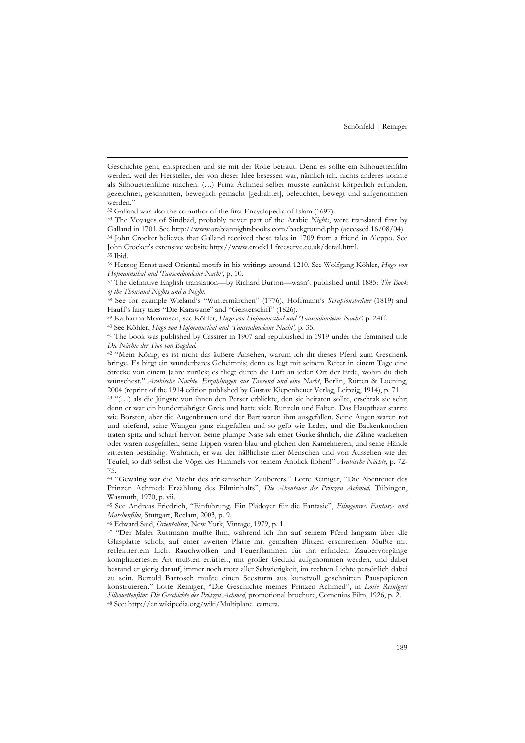32 Galland was also the co-author of the first Encyclopedia of Islam (1697).

l

39 Katharina Mommsen, see Köhler, *Hugo von Hofmannsthal und 'Tausendundeine Nacht',* p. 24ff.

40 See Köhler, *Hugo von Hofmannsthal und 'Tausendundeine Nacht',* p. 35.

46 Edward Said, *Orientalism*, New York, Vintage, 1979, p. 1.

Geschichte geht, entsprechen und sie mit der Rolle betraut. Denn es sollte ein Silhouettenfilm werden, weil der Hersteller, der von dieser Idee besessen war, nämlich ich, nichts anderes konnte als Silhouettenfilme machen. (…) Prinz Achmed selber musste zunächst körperlich erfunden, gezeichnet, geschnitten, beweglich gemacht [gedrahtet], beleuchtet, bewegt und aufgenommen werden."

<sup>33</sup> The Voyages of Sindbad, probably never part of the Arabic *Nights*, were translated first by Galland in 1701. See http://www.arabiannightsbooks.com/background.php (accessed 16/08/04) <sup>34</sup> John Crocker believes that Galland received these tales in 1709 from a friend in Aleppo. See

John Crocker's extensive website http://www.crock11.freeserve.co.uk/detail.html. 35 Ibid.

<sup>36</sup> Herzog Ernst used Oriental motifs in his writings around 1210. See Wolfgang Köhler, *Hugo von Hofmannsthal und 'Tausendundeine Nacht',* p. 10.

<sup>37</sup> The definitive English translation—by Richard Burton—wasn't published until 1885: *The Book of the Thousand Nights and a Night*.

<sup>38</sup> See for example Wieland's "Wintermärchen" (1776), Hoffmann's *Serapionsbrüder* (1819) and Hauff's fairy tales "Die Karawane" and "Geisterschiff" (1826).

<sup>41</sup> The book was published by Cassirer in 1907 and republished in 1919 under the feminised title *Die Nächte der Tino von Bagdad.*

<sup>42</sup> "Mein König, es ist nicht das äußere Ansehen, warum ich dir dieses Pferd zum Geschenk bringe. Es birgt ein wunderbares Geheimnis; denn es legt mit seinem Reiter in einem Tage eine Strecke von einem Jahre zurück; es fliegt durch die Luft an jeden Ort der Erde, wohin du dich wünschest." *Arabische Nächte. Erzählungen aus Tausend und eine Nacht*, Berlin, Rütten & Loening, 2004 (reprint of the 1914 edition published by Gustav Kiepenheuer Verlag, Leipzig, 1914), p. 71.

<sup>43</sup> "(…) als die Jüngste von ihnen den Perser erblickte, den sie heiraten sollte, erschrak sie sehr; denn er war ein hundertjähriger Greis und hatte viele Runzeln und Falten. Das Haupthaar starrte wie Borsten, aber die Augenbrauen und der Bart waren ihm ausgefallen. Seine Augen waren rot und triefend, seine Wangen ganz eingefallen und so gelb wie Leder, und die Backenknochen traten spitz und scharf hervor. Seine plumpe Nase sah einer Gurke ähnlich, die Zähne wackelten oder waren ausgefallen, seine Lippen waren blau und glichen den Kamelnieren, und seine Hände zitterten beständig. Wahrlich, er war der häßlichste aller Menschen und von Aussehen wie der Teufel, so daß selbst die Vögel des Himmels vor seinem Anblick flohen!" *Arabische Nächte*, p. 72- 75.

<sup>44</sup> "Gewaltig war die Macht des afrikanischen Zauberers." Lotte Reiniger, "Die Abenteuer des Prinzen Achmed: Erzählung des Filminhalts", *Die Abenteuer des Prinzen Achmed,* Tübingen, Wasmuth, 1970, p. vii.

<sup>45</sup> See Andreas Friedrich, "Einführung. Ein Plädoyer für die Fantasie", *Filmgenres: Fantasy- und Märchenfilm*, Stuttgart, Reclam, 2003, p. 9.

<sup>47</sup> "Der Maler Ruttmann mußte ihm, während ich ihn auf seinem Pferd langsam über die Glasplatte schob, auf einer zweiten Platte mit gemalten Blitzen erschrecken. Mußte mit reflektiertem Licht Rauchwolken und Feuerflammen für ihn erfinden. Zaubervorgänge kompliziertester Art mußten ertüftelt, mit großer Geduld aufgenommen werden, und dabei bestand er gierig darauf, immer noch trotz aller Schwierigkeit, im rechten Lichte persönlich dabei zu sein. Bertold Bartosch mußte einen Seesturm aus kunstvoll geschnitten Pauspapieren konstruieren." Lotte Reiniger, "Die Geschichte meines Prinzen Achmed", in *Lotte Reinigers Silhouettenfilm: Die Geschichte des Prinzen Achmed*, promotional brochure, Comenius Film, 1926, p. 2. 48 See: http://en.wikipedia.org/wiki/Multiplane\_camera.